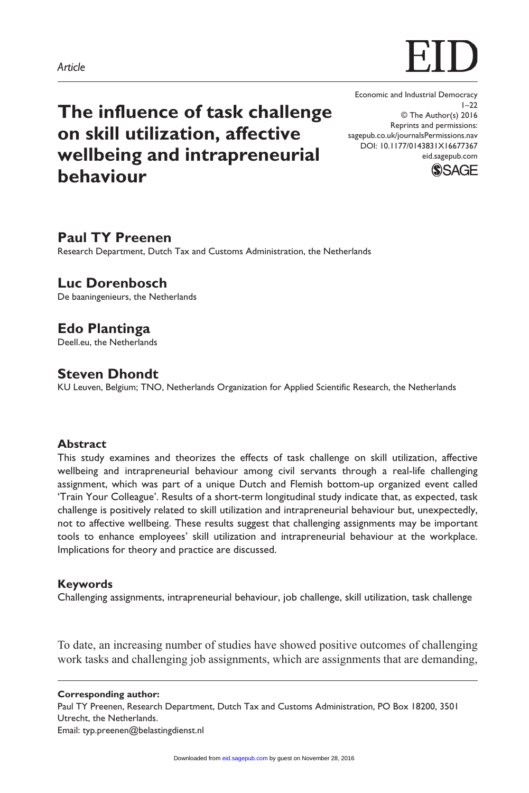

Economic and Industrial Democracy  $1 - 22$ © The Author(s) 2016 Reprints and permissions: sagepub.co.uk/journalsPermissions.nav DOI: 10.1177/0143831X16677367 eid.sagepub.com



# **The influence of task challenge on skill utilization, affective wellbeing and intrapreneurial behaviour**

## **Paul TY Preenen**

Research Department, Dutch Tax and Customs Administration, the Netherlands

## **Luc Dorenbosch**

De baaningenieurs, the Netherlands

# **Edo Plantinga**

Deell eu, the Netherlands

### **Steven Dhondt**

KU Leuven, Belgium; TNO, Netherlands Organization for Applied Scientific Research, the Netherlands

#### **Abstract**

This study examines and theorizes the effects of task challenge on skill utilization, affective wellbeing and intrapreneurial behaviour among civil servants through a real-life challenging assignment, which was part of a unique Dutch and Flemish bottom-up organized event called 'Train Your Colleague'. Results of a short-term longitudinal study indicate that, as expected, task challenge is positively related to skill utilization and intrapreneurial behaviour but, unexpectedly, not to affective wellbeing. These results suggest that challenging assignments may be important tools to enhance employees' skill utilization and intrapreneurial behaviour at the workplace. Implications for theory and practice are discussed.

#### **Keywords**

Challenging assignments, intrapreneurial behaviour, job challenge, skill utilization, task challenge

To date, an increasing number of studies have showed positive outcomes of challenging work tasks and challenging job assignments, which are assignments that are demanding,

**Corresponding author:**

Paul TY Preenen, Research Department, Dutch Tax and Customs Administration, PO Box 18200, 3501 Utrecht, the Netherlands.

Email: [typ.preenen@belastingdienst.nl](mailto:typ.preenen@belastingdienst.nl)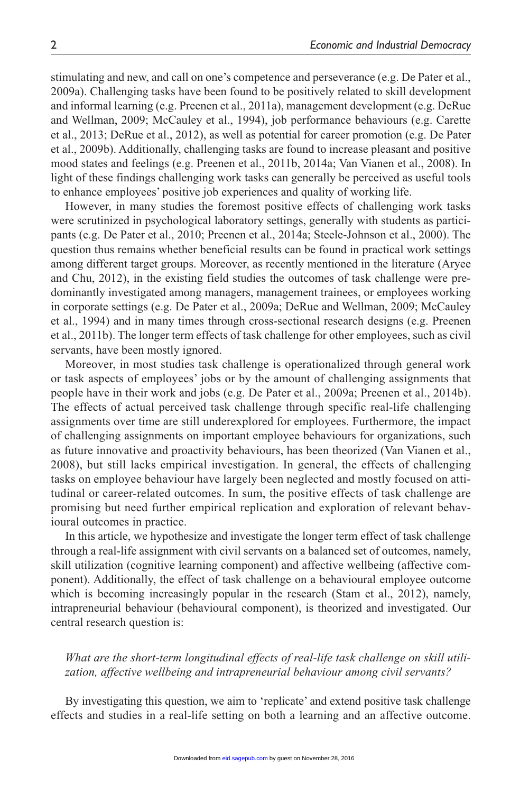stimulating and new, and call on one's competence and perseverance (e.g. De Pater et al., 2009a). Challenging tasks have been found to be positively related to skill development and informal learning (e.g. Preenen et al., 2011a), management development (e.g. DeRue and Wellman, 2009; McCauley et al., 1994), job performance behaviours (e.g. Carette et al., 2013; DeRue et al., 2012), as well as potential for career promotion (e.g. De Pater et al., 2009b). Additionally, challenging tasks are found to increase pleasant and positive mood states and feelings (e.g. Preenen et al., 2011b, 2014a; Van Vianen et al., 2008). In light of these findings challenging work tasks can generally be perceived as useful tools to enhance employees' positive job experiences and quality of working life.

However, in many studies the foremost positive effects of challenging work tasks were scrutinized in psychological laboratory settings, generally with students as participants (e.g. De Pater et al., 2010; Preenen et al., 2014a; Steele-Johnson et al., 2000). The question thus remains whether beneficial results can be found in practical work settings among different target groups. Moreover, as recently mentioned in the literature (Aryee and Chu, 2012), in the existing field studies the outcomes of task challenge were predominantly investigated among managers, management trainees, or employees working in corporate settings (e.g. De Pater et al., 2009a; DeRue and Wellman, 2009; McCauley et al., 1994) and in many times through cross-sectional research designs (e.g. Preenen et al., 2011b). The longer term effects of task challenge for other employees, such as civil servants, have been mostly ignored.

Moreover, in most studies task challenge is operationalized through general work or task aspects of employees' jobs or by the amount of challenging assignments that people have in their work and jobs (e.g. De Pater et al., 2009a; Preenen et al., 2014b). The effects of actual perceived task challenge through specific real-life challenging assignments over time are still underexplored for employees. Furthermore, the impact of challenging assignments on important employee behaviours for organizations, such as future innovative and proactivity behaviours, has been theorized (Van Vianen et al., 2008), but still lacks empirical investigation. In general, the effects of challenging tasks on employee behaviour have largely been neglected and mostly focused on attitudinal or career-related outcomes. In sum, the positive effects of task challenge are promising but need further empirical replication and exploration of relevant behavioural outcomes in practice.

In this article, we hypothesize and investigate the longer term effect of task challenge through a real-life assignment with civil servants on a balanced set of outcomes, namely, skill utilization (cognitive learning component) and affective wellbeing (affective component). Additionally, the effect of task challenge on a behavioural employee outcome which is becoming increasingly popular in the research (Stam et al., 2012), namely, intrapreneurial behaviour (behavioural component), is theorized and investigated. Our central research question is:

*What are the short-term longitudinal effects of real-life task challenge on skill utilization, affective wellbeing and intrapreneurial behaviour among civil servants?*

By investigating this question, we aim to 'replicate' and extend positive task challenge effects and studies in a real-life setting on both a learning and an affective outcome.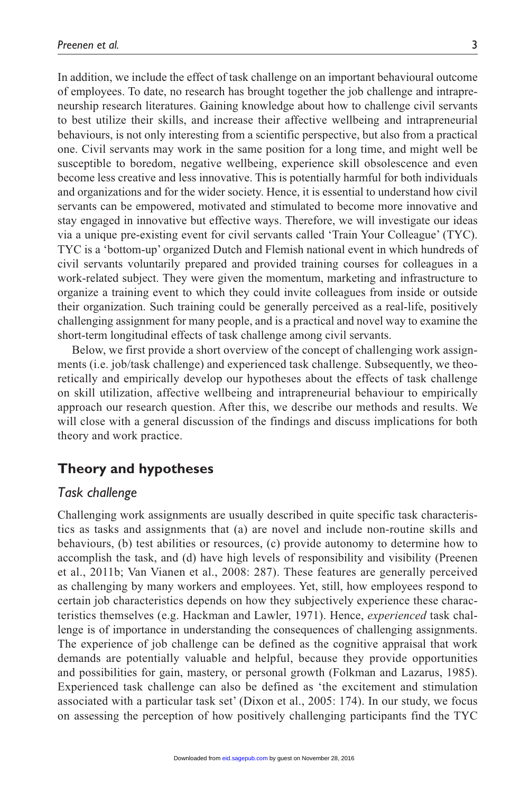In addition, we include the effect of task challenge on an important behavioural outcome of employees. To date, no research has brought together the job challenge and intrapreneurship research literatures. Gaining knowledge about how to challenge civil servants to best utilize their skills, and increase their affective wellbeing and intrapreneurial behaviours, is not only interesting from a scientific perspective, but also from a practical one. Civil servants may work in the same position for a long time, and might well be susceptible to boredom, negative wellbeing, experience skill obsolescence and even become less creative and less innovative. This is potentially harmful for both individuals and organizations and for the wider society. Hence, it is essential to understand how civil servants can be empowered, motivated and stimulated to become more innovative and stay engaged in innovative but effective ways. Therefore, we will investigate our ideas via a unique pre-existing event for civil servants called 'Train Your Colleague' (TYC). TYC is a 'bottom-up' organized Dutch and Flemish national event in which hundreds of civil servants voluntarily prepared and provided training courses for colleagues in a work-related subject. They were given the momentum, marketing and infrastructure to organize a training event to which they could invite colleagues from inside or outside their organization. Such training could be generally perceived as a real-life, positively challenging assignment for many people, and is a practical and novel way to examine the short-term longitudinal effects of task challenge among civil servants.

Below, we first provide a short overview of the concept of challenging work assignments (i.e. job/task challenge) and experienced task challenge. Subsequently, we theoretically and empirically develop our hypotheses about the effects of task challenge on skill utilization, affective wellbeing and intrapreneurial behaviour to empirically approach our research question. After this, we describe our methods and results. We will close with a general discussion of the findings and discuss implications for both theory and work practice.

### **Theory and hypotheses**

#### *Task challenge*

Challenging work assignments are usually described in quite specific task characteristics as tasks and assignments that (a) are novel and include non-routine skills and behaviours, (b) test abilities or resources, (c) provide autonomy to determine how to accomplish the task, and (d) have high levels of responsibility and visibility (Preenen et al., 2011b; Van Vianen et al., 2008: 287). These features are generally perceived as challenging by many workers and employees. Yet, still, how employees respond to certain job characteristics depends on how they subjectively experience these characteristics themselves (e.g. Hackman and Lawler, 1971). Hence, *experienced* task challenge is of importance in understanding the consequences of challenging assignments. The experience of job challenge can be defined as the cognitive appraisal that work demands are potentially valuable and helpful, because they provide opportunities and possibilities for gain, mastery, or personal growth (Folkman and Lazarus, 1985). Experienced task challenge can also be defined as 'the excitement and stimulation associated with a particular task set' (Dixon et al., 2005: 174). In our study, we focus on assessing the perception of how positively challenging participants find the TYC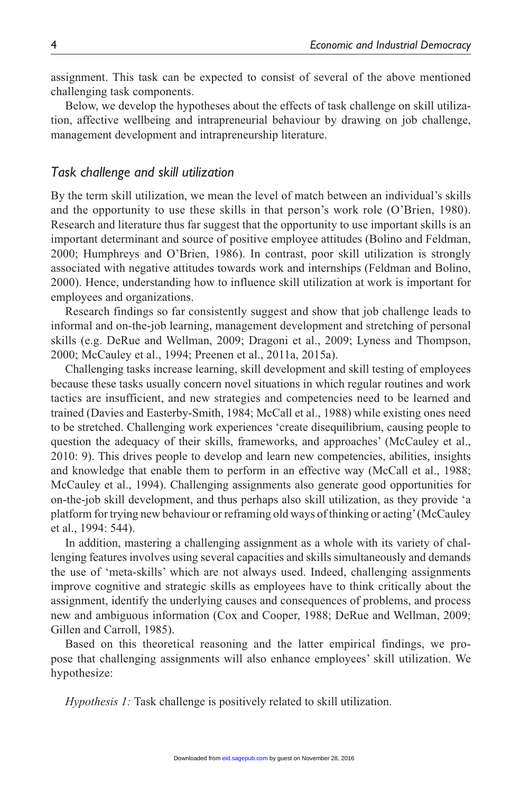assignment. This task can be expected to consist of several of the above mentioned challenging task components.

Below, we develop the hypotheses about the effects of task challenge on skill utilization, affective wellbeing and intrapreneurial behaviour by drawing on job challenge, management development and intrapreneurship literature.

#### *Task challenge and skill utilization*

By the term skill utilization, we mean the level of match between an individual's skills and the opportunity to use these skills in that person's work role (O'Brien, 1980). Research and literature thus far suggest that the opportunity to use important skills is an important determinant and source of positive employee attitudes (Bolino and Feldman, 2000; Humphreys and O'Brien, 1986). In contrast, poor skill utilization is strongly associated with negative attitudes towards work and internships (Feldman and Bolino, 2000). Hence, understanding how to influence skill utilization at work is important for employees and organizations.

Research findings so far consistently suggest and show that job challenge leads to informal and on-the-job learning, management development and stretching of personal skills (e.g. DeRue and Wellman, 2009; Dragoni et al., 2009; Lyness and Thompson, 2000; McCauley et al., 1994; Preenen et al., 2011a, 2015a).

Challenging tasks increase learning, skill development and skill testing of employees because these tasks usually concern novel situations in which regular routines and work tactics are insufficient, and new strategies and competencies need to be learned and trained (Davies and Easterby-Smith, 1984; McCall et al., 1988) while existing ones need to be stretched. Challenging work experiences 'create disequilibrium, causing people to question the adequacy of their skills, frameworks, and approaches' (McCauley et al., 2010: 9). This drives people to develop and learn new competencies, abilities, insights and knowledge that enable them to perform in an effective way (McCall et al., 1988; McCauley et al., 1994). Challenging assignments also generate good opportunities for on-the-job skill development, and thus perhaps also skill utilization, as they provide 'a platform for trying new behaviour or reframing old ways of thinking or acting' (McCauley et al., 1994: 544).

In addition, mastering a challenging assignment as a whole with its variety of challenging features involves using several capacities and skills simultaneously and demands the use of 'meta-skills' which are not always used. Indeed, challenging assignments improve cognitive and strategic skills as employees have to think critically about the assignment, identify the underlying causes and consequences of problems, and process new and ambiguous information (Cox and Cooper, 1988; DeRue and Wellman, 2009; Gillen and Carroll, 1985).

Based on this theoretical reasoning and the latter empirical findings, we propose that challenging assignments will also enhance employees' skill utilization. We hypothesize:

*Hypothesis 1:* Task challenge is positively related to skill utilization.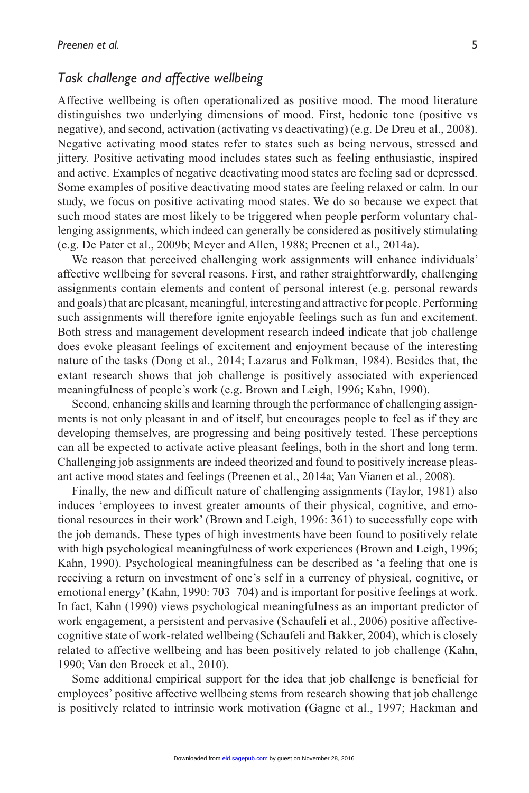#### *Task challenge and affective wellbeing*

Affective wellbeing is often operationalized as positive mood. The mood literature distinguishes two underlying dimensions of mood. First, hedonic tone (positive vs negative), and second, activation (activating vs deactivating) (e.g. De Dreu et al., 2008). Negative activating mood states refer to states such as being nervous, stressed and jittery. Positive activating mood includes states such as feeling enthusiastic, inspired and active. Examples of negative deactivating mood states are feeling sad or depressed. Some examples of positive deactivating mood states are feeling relaxed or calm. In our study, we focus on positive activating mood states. We do so because we expect that such mood states are most likely to be triggered when people perform voluntary challenging assignments, which indeed can generally be considered as positively stimulating (e.g. De Pater et al., 2009b; Meyer and Allen, 1988; Preenen et al., 2014a).

We reason that perceived challenging work assignments will enhance individuals' affective wellbeing for several reasons. First, and rather straightforwardly, challenging assignments contain elements and content of personal interest (e.g. personal rewards and goals) that are pleasant, meaningful, interesting and attractive for people. Performing such assignments will therefore ignite enjoyable feelings such as fun and excitement. Both stress and management development research indeed indicate that job challenge does evoke pleasant feelings of excitement and enjoyment because of the interesting nature of the tasks (Dong et al., 2014; Lazarus and Folkman, 1984). Besides that, the extant research shows that job challenge is positively associated with experienced meaningfulness of people's work (e.g. Brown and Leigh, 1996; Kahn, 1990).

Second, enhancing skills and learning through the performance of challenging assignments is not only pleasant in and of itself, but encourages people to feel as if they are developing themselves, are progressing and being positively tested. These perceptions can all be expected to activate active pleasant feelings, both in the short and long term. Challenging job assignments are indeed theorized and found to positively increase pleasant active mood states and feelings (Preenen et al., 2014a; Van Vianen et al., 2008).

Finally, the new and difficult nature of challenging assignments (Taylor, 1981) also induces 'employees to invest greater amounts of their physical, cognitive, and emotional resources in their work' (Brown and Leigh, 1996: 361) to successfully cope with the job demands. These types of high investments have been found to positively relate with high psychological meaningfulness of work experiences (Brown and Leigh, 1996; Kahn, 1990). Psychological meaningfulness can be described as 'a feeling that one is receiving a return on investment of one's self in a currency of physical, cognitive, or emotional energy' (Kahn, 1990: 703–704) and is important for positive feelings at work. In fact, Kahn (1990) views psychological meaningfulness as an important predictor of work engagement, a persistent and pervasive (Schaufeli et al., 2006) positive affectivecognitive state of work-related wellbeing (Schaufeli and Bakker, 2004), which is closely related to affective wellbeing and has been positively related to job challenge (Kahn, 1990; Van den Broeck et al., 2010).

Some additional empirical support for the idea that job challenge is beneficial for employees' positive affective wellbeing stems from research showing that job challenge is positively related to intrinsic work motivation (Gagne et al., 1997; Hackman and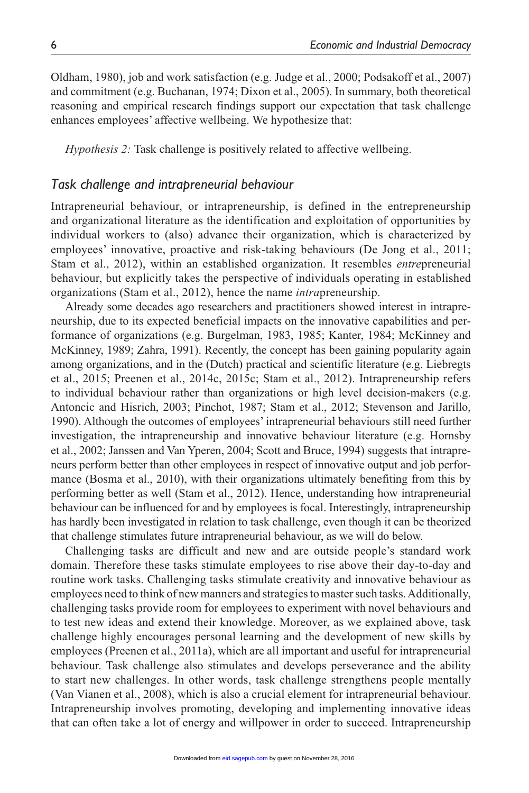Oldham, 1980), job and work satisfaction (e.g. Judge et al., 2000; Podsakoff et al., 2007) and commitment (e.g. Buchanan, 1974; Dixon et al., 2005). In summary, both theoretical reasoning and empirical research findings support our expectation that task challenge enhances employees' affective wellbeing. We hypothesize that:

*Hypothesis 2:* Task challenge is positively related to affective wellbeing.

#### *Task challenge and intrapreneurial behaviour*

Intrapreneurial behaviour, or intrapreneurship, is defined in the entrepreneurship and organizational literature as the identification and exploitation of opportunities by individual workers to (also) advance their organization, which is characterized by employees' innovative, proactive and risk-taking behaviours (De Jong et al., 2011; Stam et al., 2012), within an established organization. It resembles *entre*preneurial behaviour, but explicitly takes the perspective of individuals operating in established organizations (Stam et al., 2012), hence the name *intra*preneurship.

Already some decades ago researchers and practitioners showed interest in intrapreneurship, due to its expected beneficial impacts on the innovative capabilities and performance of organizations (e.g. Burgelman, 1983, 1985; Kanter, 1984; McKinney and McKinney, 1989; Zahra, 1991). Recently, the concept has been gaining popularity again among organizations, and in the (Dutch) practical and scientific literature (e.g. Liebregts et al., 2015; Preenen et al., 2014c, 2015c; Stam et al., 2012). Intrapreneurship refers to individual behaviour rather than organizations or high level decision-makers (e.g. Antoncic and Hisrich, 2003; Pinchot, 1987; Stam et al., 2012; Stevenson and Jarillo, 1990). Although the outcomes of employees' intrapreneurial behaviours still need further investigation, the intrapreneurship and innovative behaviour literature (e.g. Hornsby et al., 2002; Janssen and Van Yperen, 2004; Scott and Bruce, 1994) suggests that intrapreneurs perform better than other employees in respect of innovative output and job performance (Bosma et al., 2010), with their organizations ultimately benefiting from this by performing better as well (Stam et al., 2012). Hence, understanding how intrapreneurial behaviour can be influenced for and by employees is focal. Interestingly, intrapreneurship has hardly been investigated in relation to task challenge, even though it can be theorized that challenge stimulates future intrapreneurial behaviour, as we will do below.

Challenging tasks are difficult and new and are outside people's standard work domain. Therefore these tasks stimulate employees to rise above their day-to-day and routine work tasks. Challenging tasks stimulate creativity and innovative behaviour as employees need to think of new manners and strategies to master such tasks. Additionally, challenging tasks provide room for employees to experiment with novel behaviours and to test new ideas and extend their knowledge. Moreover, as we explained above, task challenge highly encourages personal learning and the development of new skills by employees (Preenen et al., 2011a), which are all important and useful for intrapreneurial behaviour. Task challenge also stimulates and develops perseverance and the ability to start new challenges. In other words, task challenge strengthens people mentally (Van Vianen et al., 2008), which is also a crucial element for intrapreneurial behaviour. Intrapreneurship involves promoting, developing and implementing innovative ideas that can often take a lot of energy and willpower in order to succeed. Intrapreneurship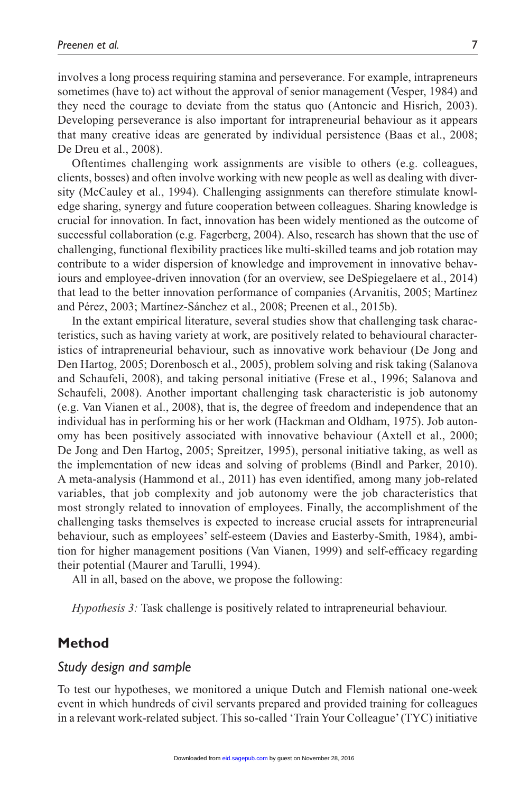involves a long process requiring stamina and perseverance. For example, intrapreneurs sometimes (have to) act without the approval of senior management (Vesper, 1984) and they need the courage to deviate from the status quo (Antoncic and Hisrich, 2003). Developing perseverance is also important for intrapreneurial behaviour as it appears that many creative ideas are generated by individual persistence (Baas et al., 2008; De Dreu et al., 2008).

Oftentimes challenging work assignments are visible to others (e.g. colleagues, clients, bosses) and often involve working with new people as well as dealing with diversity (McCauley et al., 1994). Challenging assignments can therefore stimulate knowledge sharing, synergy and future cooperation between colleagues. Sharing knowledge is crucial for innovation. In fact, innovation has been widely mentioned as the outcome of successful collaboration (e.g. Fagerberg, 2004). Also, research has shown that the use of challenging, functional flexibility practices like multi-skilled teams and job rotation may contribute to a wider dispersion of knowledge and improvement in innovative behaviours and employee-driven innovation (for an overview, see DeSpiegelaere et al., 2014) that lead to the better innovation performance of companies (Arvanitis, 2005; Martínez and Pérez, 2003; Martínez-Sánchez et al., 2008; Preenen et al., 2015b).

In the extant empirical literature, several studies show that challenging task characteristics, such as having variety at work, are positively related to behavioural characteristics of intrapreneurial behaviour, such as innovative work behaviour (De Jong and Den Hartog, 2005; Dorenbosch et al., 2005), problem solving and risk taking (Salanova and Schaufeli, 2008), and taking personal initiative (Frese et al., 1996; Salanova and Schaufeli, 2008). Another important challenging task characteristic is job autonomy (e.g. Van Vianen et al., 2008), that is, the degree of freedom and independence that an individual has in performing his or her work (Hackman and Oldham, 1975). Job autonomy has been positively associated with innovative behaviour (Axtell et al., 2000; De Jong and Den Hartog, 2005; Spreitzer, 1995), personal initiative taking, as well as the implementation of new ideas and solving of problems (Bindl and Parker, 2010). A meta-analysis (Hammond et al., 2011) has even identified, among many job-related variables, that job complexity and job autonomy were the job characteristics that most strongly related to innovation of employees. Finally, the accomplishment of the challenging tasks themselves is expected to increase crucial assets for intrapreneurial behaviour, such as employees' self-esteem (Davies and Easterby-Smith, 1984), ambition for higher management positions (Van Vianen, 1999) and self-efficacy regarding their potential (Maurer and Tarulli, 1994).

All in all, based on the above, we propose the following:

*Hypothesis 3:* Task challenge is positively related to intrapreneurial behaviour.

### **Method**

#### *Study design and sample*

To test our hypotheses, we monitored a unique Dutch and Flemish national one-week event in which hundreds of civil servants prepared and provided training for colleagues in a relevant work-related subject. This so-called 'Train Your Colleague' (TYC) initiative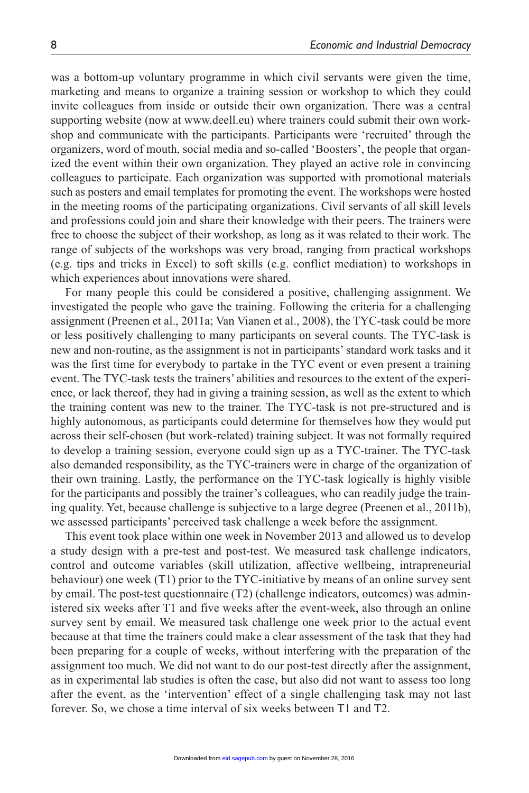was a bottom-up voluntary programme in which civil servants were given the time, marketing and means to organize a training session or workshop to which they could invite colleagues from inside or outside their own organization. There was a central supporting website (now at<www.deell.eu>) where trainers could submit their own workshop and communicate with the participants. Participants were 'recruited' through the organizers, word of mouth, social media and so-called 'Boosters', the people that organized the event within their own organization. They played an active role in convincing colleagues to participate. Each organization was supported with promotional materials such as posters and email templates for promoting the event. The workshops were hosted in the meeting rooms of the participating organizations. Civil servants of all skill levels and professions could join and share their knowledge with their peers. The trainers were free to choose the subject of their workshop, as long as it was related to their work. The range of subjects of the workshops was very broad, ranging from practical workshops (e.g. tips and tricks in Excel) to soft skills (e.g. conflict mediation) to workshops in which experiences about innovations were shared.

For many people this could be considered a positive, challenging assignment. We investigated the people who gave the training. Following the criteria for a challenging assignment (Preenen et al., 2011a; Van Vianen et al., 2008), the TYC-task could be more or less positively challenging to many participants on several counts. The TYC-task is new and non-routine, as the assignment is not in participants' standard work tasks and it was the first time for everybody to partake in the TYC event or even present a training event. The TYC-task tests the trainers' abilities and resources to the extent of the experience, or lack thereof, they had in giving a training session, as well as the extent to which the training content was new to the trainer. The TYC-task is not pre-structured and is highly autonomous, as participants could determine for themselves how they would put across their self-chosen (but work-related) training subject. It was not formally required to develop a training session, everyone could sign up as a TYC-trainer. The TYC-task also demanded responsibility, as the TYC-trainers were in charge of the organization of their own training. Lastly, the performance on the TYC-task logically is highly visible for the participants and possibly the trainer's colleagues, who can readily judge the training quality. Yet, because challenge is subjective to a large degree (Preenen et al., 2011b), we assessed participants' perceived task challenge a week before the assignment.

This event took place within one week in November 2013 and allowed us to develop a study design with a pre-test and post-test. We measured task challenge indicators, control and outcome variables (skill utilization, affective wellbeing, intrapreneurial behaviour) one week (T1) prior to the TYC-initiative by means of an online survey sent by email. The post-test questionnaire (T2) (challenge indicators, outcomes) was administered six weeks after T1 and five weeks after the event-week, also through an online survey sent by email. We measured task challenge one week prior to the actual event because at that time the trainers could make a clear assessment of the task that they had been preparing for a couple of weeks, without interfering with the preparation of the assignment too much. We did not want to do our post-test directly after the assignment, as in experimental lab studies is often the case, but also did not want to assess too long after the event, as the 'intervention' effect of a single challenging task may not last forever. So, we chose a time interval of six weeks between T1 and T2.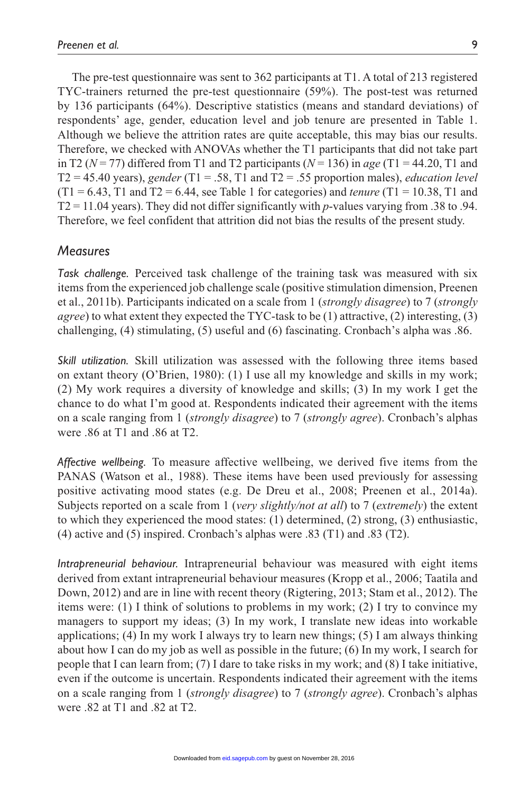The pre-test questionnaire was sent to 362 participants at T1. A total of 213 registered TYC-trainers returned the pre-test questionnaire (59%). The post-test was returned by 136 participants (64%). Descriptive statistics (means and standard deviations) of respondents' age, gender, education level and job tenure are presented in Table 1. Although we believe the attrition rates are quite acceptable, this may bias our results. Therefore, we checked with ANOVAs whether the T1 participants that did not take part in T2 ( $N = 77$ ) differed from T1 and T2 participants ( $N = 136$ ) in *age* (T1 = 44.20, T1 and T2 = 45.40 years), *gender* (T1 = .58, T1 and T2 = .55 proportion males), *education level*  $(T1 = 6.43, T1$  and  $T2 = 6.44$ , see Table 1 for categories) and *tenure*  $(T1 = 10.38, T1$  and T2 = 11.04 years). They did not differ significantly with *p*-values varying from .38 to .94. Therefore, we feel confident that attrition did not bias the results of the present study.

#### *Measures*

*Task challenge.* Perceived task challenge of the training task was measured with six items from the experienced job challenge scale (positive stimulation dimension, Preenen et al., 2011b). Participants indicated on a scale from 1 (*strongly disagree*) to 7 (*strongly agree*) to what extent they expected the TYC-task to be (1) attractive, (2) interesting, (3) challenging, (4) stimulating, (5) useful and (6) fascinating. Cronbach's alpha was .86.

*Skill utilization.* Skill utilization was assessed with the following three items based on extant theory (O'Brien, 1980): (1) I use all my knowledge and skills in my work; (2) My work requires a diversity of knowledge and skills; (3) In my work I get the chance to do what I'm good at. Respondents indicated their agreement with the items on a scale ranging from 1 (*strongly disagree*) to 7 (*strongly agree*). Cronbach's alphas were .86 at T1 and .86 at T2.

*Affective wellbeing.* To measure affective wellbeing, we derived five items from the PANAS (Watson et al., 1988). These items have been used previously for assessing positive activating mood states (e.g. De Dreu et al., 2008; Preenen et al., 2014a). Subjects reported on a scale from 1 (*very slightly/not at all*) to 7 (*extremely*) the extent to which they experienced the mood states: (1) determined, (2) strong, (3) enthusiastic, (4) active and (5) inspired. Cronbach's alphas were .83 (T1) and .83 (T2).

*Intrapreneurial behaviour.* Intrapreneurial behaviour was measured with eight items derived from extant intrapreneurial behaviour measures (Kropp et al., 2006; Taatila and Down, 2012) and are in line with recent theory (Rigtering, 2013; Stam et al., 2012). The items were: (1) I think of solutions to problems in my work; (2) I try to convince my managers to support my ideas; (3) In my work, I translate new ideas into workable applications; (4) In my work I always try to learn new things; (5) I am always thinking about how I can do my job as well as possible in the future; (6) In my work, I search for people that I can learn from; (7) I dare to take risks in my work; and (8) I take initiative, even if the outcome is uncertain. Respondents indicated their agreement with the items on a scale ranging from 1 (*strongly disagree*) to 7 (*strongly agree*). Cronbach's alphas were .82 at T1 and .82 at T2.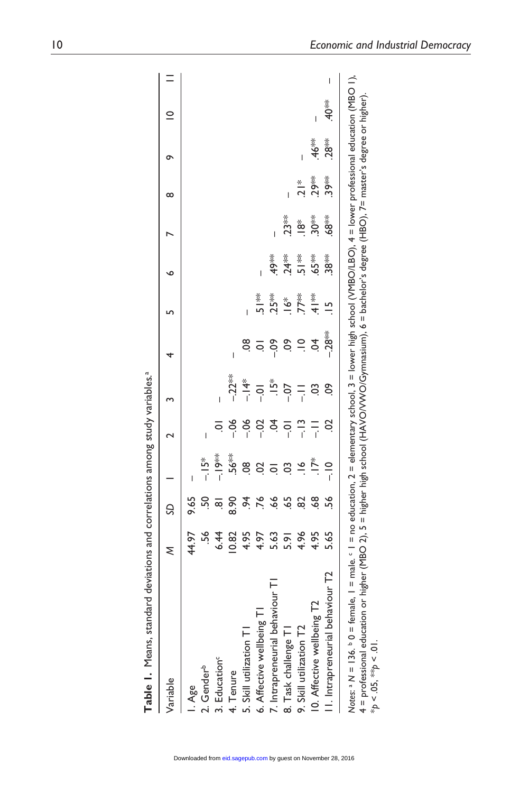| Variable                                                                                                                                                                                                                                                                                                                   | Σ     | S    |                  |                   |                |               |                   |               |                                       | ∞             | ᡡ       | $\supseteq$ |   |
|----------------------------------------------------------------------------------------------------------------------------------------------------------------------------------------------------------------------------------------------------------------------------------------------------------------------------|-------|------|------------------|-------------------|----------------|---------------|-------------------|---------------|---------------------------------------|---------------|---------|-------------|---|
| I. Age                                                                                                                                                                                                                                                                                                                     | 44.97 | 9.65 |                  |                   |                |               |                   |               |                                       |               |         |             |   |
| 2. Gender <sup>b</sup>                                                                                                                                                                                                                                                                                                     | 56    | SÓ.  | $-15*$           |                   |                |               |                   |               |                                       |               |         |             |   |
| 3. Education <sup>c</sup>                                                                                                                                                                                                                                                                                                  | 6.44  | ಹ    | -∴19**           |                   |                |               |                   |               |                                       |               |         |             |   |
| 4. Tenure                                                                                                                                                                                                                                                                                                                  | 0.82  | 8.90 | $56**$           | 90-               | $-22**$        |               |                   |               |                                       |               |         |             |   |
| 5. Skill utilization T1                                                                                                                                                                                                                                                                                                    | 4.95  | रूं  | $\frac{8}{2}$    | $-06$             | $-14*$         |               |                   |               |                                       |               |         |             |   |
| 6. Affective wellbeing T1                                                                                                                                                                                                                                                                                                  | 4.97  | .76  | S                | $-0.2$            | $\overline{q}$ |               | $\frac{*}{2}$     |               |                                       |               |         |             |   |
| 7. Intrapreneurial behaviour TI                                                                                                                                                                                                                                                                                            | 5.63  | 66.  | ē                | Ş                 | $-5*$          | °€            | $25**$            | 49₩           |                                       |               |         |             |   |
| 8. Task challenge TI                                                                                                                                                                                                                                                                                                       | 5.91  | -65  | S                | 후                 | $-0.7$         | δò            | $\stackrel{*}{=}$ | $24**$        | $23**$                                |               |         |             |   |
| 9. Skill utilization T2                                                                                                                                                                                                                                                                                                    | 4.96  | 82   | $\frac{6}{1}$    | $\frac{1}{\cdot}$ |                | $\frac{1}{2}$ | <b>77**</b>       | $\frac{1}{2}$ | $\overset{*}{\underline{\mathsf{o}}}$ | $\frac{1}{2}$ |         |             |   |
| 10. Affective wellbeing T2                                                                                                                                                                                                                                                                                                 | 4.95  | 89   | $\sum_{i=1}^{k}$ |                   |                | Ś             | $\frac{*}{*}$     | 65**          | $\frac{2}{30}$                        | 29**          | .46₩    | Ī           |   |
| 11. Intrapreneurial behaviour T2                                                                                                                                                                                                                                                                                           | 5.65  | 56   |                  | S                 | SO.            | $-28$         |                   | 茶<br>88       | 68 <sup>≽≭</sup>                      | 39**          | $.28**$ | *<br>04.    | I |
| Notes: ^ N = 136. b 0 = female, I = male. < I = no education, 2 = elementary school, 3 = lower high school (VMBO/LBO), 4 = lower professional education (MBO I),<br>4 = professional education or higher (MBO 2), 5 = higher high school (HAVO/VWO/Gymnasium), 6 = bachelor's degree (HBO), 7= master's degree or higher). |       |      |                  |                   |                |               |                   |               |                                       |               |         |             |   |

| i<br>.<br>J              |
|--------------------------|
| ı                        |
| i<br>١                   |
| ı                        |
|                          |
| <b></b>                  |
| í                        |
| $\frac{1}{2}$<br>)       |
| $\overline{\phantom{a}}$ |
| j                        |
| š<br>I<br>)              |
|                          |
| i<br>1                   |
|                          |
|                          |
| å<br>ı                   |
|                          |
| I                        |
|                          |
|                          |
| ı                        |
| i                        |
| Ï<br>I                   |
| ¢<br>í                   |
| ÷<br>l                   |
| Ï                        |
|                          |
|                          |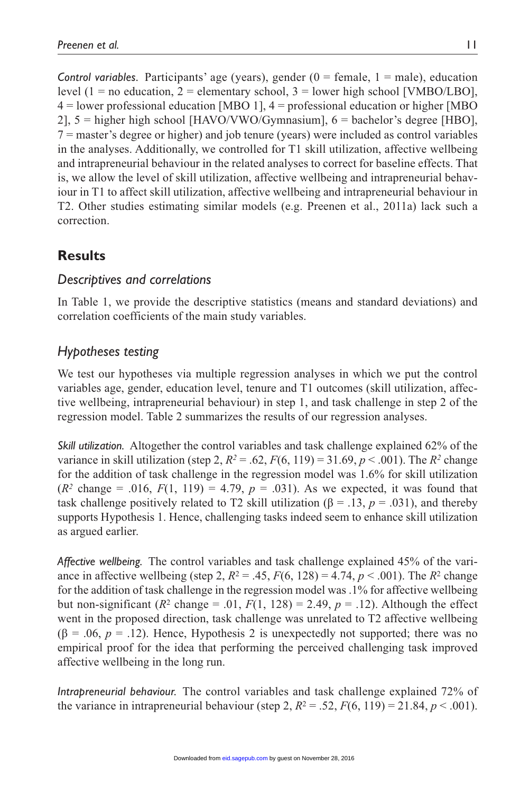*Control variables.* Participants' age (years), gender  $(0 = \text{female}, 1 = \text{male})$ , education level (1 = no education, 2 = elementary school, 3 = lower high school [VMBO/LBO], 4 = lower professional education [MBO 1], 4 = professional education or higher [MBO 2], 5 = higher high school [HAVO/VWO/Gymnasium], 6 = bachelor's degree [HBO], 7 = master's degree or higher) and job tenure (years) were included as control variables in the analyses. Additionally, we controlled for T1 skill utilization, affective wellbeing and intrapreneurial behaviour in the related analyses to correct for baseline effects. That is, we allow the level of skill utilization, affective wellbeing and intrapreneurial behaviour in T1 to affect skill utilization, affective wellbeing and intrapreneurial behaviour in T2. Other studies estimating similar models (e.g. Preenen et al., 2011a) lack such a correction.

# **Results**

### *Descriptives and correlations*

In Table 1, we provide the descriptive statistics (means and standard deviations) and correlation coefficients of the main study variables.

## *Hypotheses testing*

We test our hypotheses via multiple regression analyses in which we put the control variables age, gender, education level, tenure and T1 outcomes (skill utilization, affective wellbeing, intrapreneurial behaviour) in step 1, and task challenge in step 2 of the regression model. Table 2 summarizes the results of our regression analyses.

*Skill utilization.* Altogether the control variables and task challenge explained 62% of the variance in skill utilization (step 2,  $R^2 = .62$ ,  $F(6, 119) = 31.69$ ,  $p < .001$ ). The  $R^2$  change for the addition of task challenge in the regression model was 1.6% for skill utilization  $(R^2 \text{ change } = .016, F(1, 119) = 4.79, p = .031)$ . As we expected, it was found that task challenge positively related to T2 skill utilization ( $\beta$  = .13,  $p$  = .031), and thereby supports Hypothesis 1. Hence, challenging tasks indeed seem to enhance skill utilization as argued earlier.

*Affective wellbeing.* The control variables and task challenge explained 45% of the variance in affective wellbeing (step 2,  $R^2 = .45$ ,  $F(6, 128) = 4.74$ ,  $p < .001$ ). The  $R^2$  change for the addition of task challenge in the regression model was .1% for affective wellbeing but non-significant ( $R^2$  change = .01,  $F(1, 128) = 2.49$ ,  $p = .12$ ). Although the effect went in the proposed direction, task challenge was unrelated to T2 affective wellbeing  $(\beta = .06, p = .12)$ . Hence, Hypothesis 2 is unexpectedly not supported; there was no empirical proof for the idea that performing the perceived challenging task improved affective wellbeing in the long run.

*Intrapreneurial behaviour.* The control variables and task challenge explained 72% of the variance in intrapreneurial behaviour (step 2,  $R^2 = .52$ ,  $F(6, 119) = 21.84$ ,  $p < .001$ ).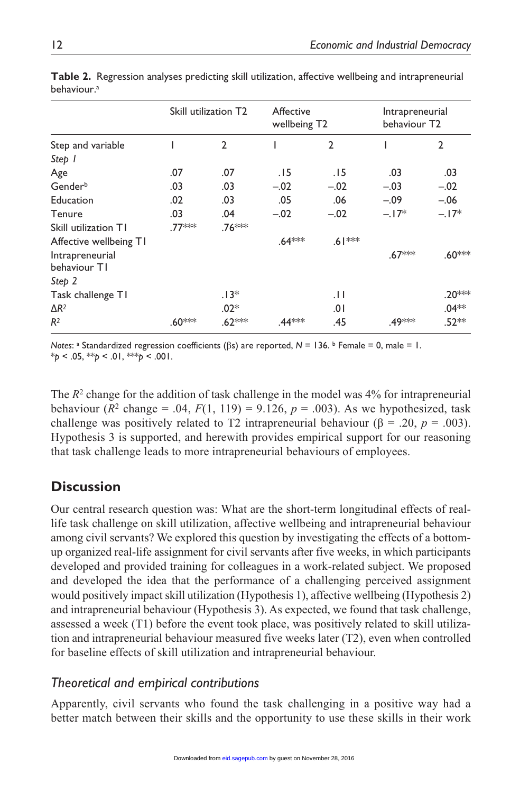|                        | Skill utilization T2 |                    | Affective<br>wellbeing T2 |                | Intrapreneurial<br>behaviour T2 |                    |
|------------------------|----------------------|--------------------|---------------------------|----------------|---------------------------------|--------------------|
| Step and variable      |                      | $\overline{2}$     |                           | $\overline{2}$ |                                 | $\mathbf{2}$       |
| Step 1                 |                      |                    |                           |                |                                 |                    |
| Age                    | .07                  | .07                | .15                       | .15            | .03                             | .03                |
| Genderb                | .03                  | .03                | $-.02$                    | $-.02$         | $-.03$                          | $-.02$             |
| Education              | .02                  | .03                | .05                       | .06            | $-.09$                          | $-.06$             |
| Tenure                 | .03                  | .04                | $-.02$                    | $-.02$         | $-.17*$                         | $-.17*$            |
| Skill utilization T1   | .77***               | .76***             |                           |                |                                 |                    |
| Affective wellbeing T1 |                      |                    | $.64***$                  | $.61***$       |                                 |                    |
| Intrapreneurial        |                      |                    |                           |                | $.67***$                        | .60 <sup>***</sup> |
| behaviour T1           |                      |                    |                           |                |                                 |                    |
| Step 2                 |                      |                    |                           |                |                                 |                    |
| Task challenge TI      |                      | $.13*$             |                           | .11            |                                 | .20***             |
| $\Delta R^2$           |                      | $.02*$             |                           | .01            |                                 | $.04**$            |
| $R^2$                  | .60 <sup>***</sup>   | .62 <sup>***</sup> | .44***                    | .45            | .49 <sup>***</sup>              | .52**              |

**Table 2.** Regression analyses predicting skill utilization, affective wellbeing and intrapreneurial behaviour.a

*Notes*: a Standardized regression coefficients (βs) are reported, *N* = 136. b Female = 0, male = 1.  $*_{p}$  < .05,  $*_{p}$  < .01,  $*_{p}$  < .001.

The  $R^2$  change for the addition of task challenge in the model was 4% for intrapreneurial behaviour ( $R^2$  change = .04,  $F(1, 119) = 9.126$ ,  $p = .003$ ). As we hypothesized, task challenge was positively related to T2 intrapreneurial behaviour  $(\beta = .20, p = .003)$ . Hypothesis 3 is supported, and herewith provides empirical support for our reasoning that task challenge leads to more intrapreneurial behaviours of employees.

# **Discussion**

Our central research question was: What are the short-term longitudinal effects of reallife task challenge on skill utilization, affective wellbeing and intrapreneurial behaviour among civil servants? We explored this question by investigating the effects of a bottomup organized real-life assignment for civil servants after five weeks, in which participants developed and provided training for colleagues in a work-related subject. We proposed and developed the idea that the performance of a challenging perceived assignment would positively impact skill utilization (Hypothesis 1), affective wellbeing (Hypothesis 2) and intrapreneurial behaviour (Hypothesis 3). As expected, we found that task challenge, assessed a week (T1) before the event took place, was positively related to skill utilization and intrapreneurial behaviour measured five weeks later (T2), even when controlled for baseline effects of skill utilization and intrapreneurial behaviour.

# *Theoretical and empirical contributions*

Apparently, civil servants who found the task challenging in a positive way had a better match between their skills and the opportunity to use these skills in their work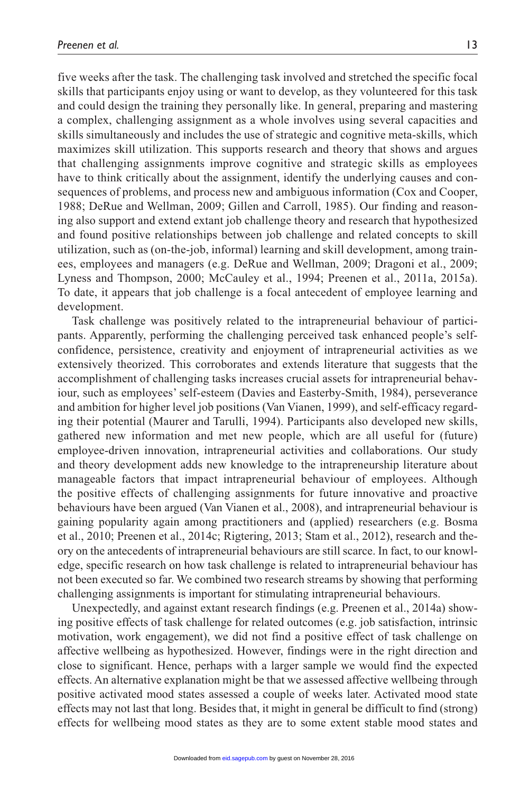five weeks after the task. The challenging task involved and stretched the specific focal skills that participants enjoy using or want to develop, as they volunteered for this task and could design the training they personally like. In general, preparing and mastering a complex, challenging assignment as a whole involves using several capacities and skills simultaneously and includes the use of strategic and cognitive meta-skills, which maximizes skill utilization. This supports research and theory that shows and argues that challenging assignments improve cognitive and strategic skills as employees have to think critically about the assignment, identify the underlying causes and consequences of problems, and process new and ambiguous information (Cox and Cooper, 1988; DeRue and Wellman, 2009; Gillen and Carroll, 1985). Our finding and reasoning also support and extend extant job challenge theory and research that hypothesized and found positive relationships between job challenge and related concepts to skill utilization, such as (on-the-job, informal) learning and skill development, among trainees, employees and managers (e.g. DeRue and Wellman, 2009; Dragoni et al., 2009; Lyness and Thompson, 2000; McCauley et al., 1994; Preenen et al., 2011a, 2015a). To date, it appears that job challenge is a focal antecedent of employee learning and development.

Task challenge was positively related to the intrapreneurial behaviour of participants. Apparently, performing the challenging perceived task enhanced people's selfconfidence, persistence, creativity and enjoyment of intrapreneurial activities as we extensively theorized. This corroborates and extends literature that suggests that the accomplishment of challenging tasks increases crucial assets for intrapreneurial behaviour, such as employees' self-esteem (Davies and Easterby-Smith, 1984), perseverance and ambition for higher level job positions (Van Vianen, 1999), and self-efficacy regarding their potential (Maurer and Tarulli, 1994). Participants also developed new skills, gathered new information and met new people, which are all useful for (future) employee-driven innovation, intrapreneurial activities and collaborations. Our study and theory development adds new knowledge to the intrapreneurship literature about manageable factors that impact intrapreneurial behaviour of employees. Although the positive effects of challenging assignments for future innovative and proactive behaviours have been argued (Van Vianen et al., 2008), and intrapreneurial behaviour is gaining popularity again among practitioners and (applied) researchers (e.g. Bosma et al., 2010; Preenen et al., 2014c; Rigtering, 2013; Stam et al., 2012), research and theory on the antecedents of intrapreneurial behaviours are still scarce. In fact, to our knowledge, specific research on how task challenge is related to intrapreneurial behaviour has not been executed so far. We combined two research streams by showing that performing challenging assignments is important for stimulating intrapreneurial behaviours.

Unexpectedly, and against extant research findings (e.g. Preenen et al., 2014a) showing positive effects of task challenge for related outcomes (e.g. job satisfaction, intrinsic motivation, work engagement), we did not find a positive effect of task challenge on affective wellbeing as hypothesized. However, findings were in the right direction and close to significant. Hence, perhaps with a larger sample we would find the expected effects. An alternative explanation might be that we assessed affective wellbeing through positive activated mood states assessed a couple of weeks later. Activated mood state effects may not last that long. Besides that, it might in general be difficult to find (strong) effects for wellbeing mood states as they are to some extent stable mood states and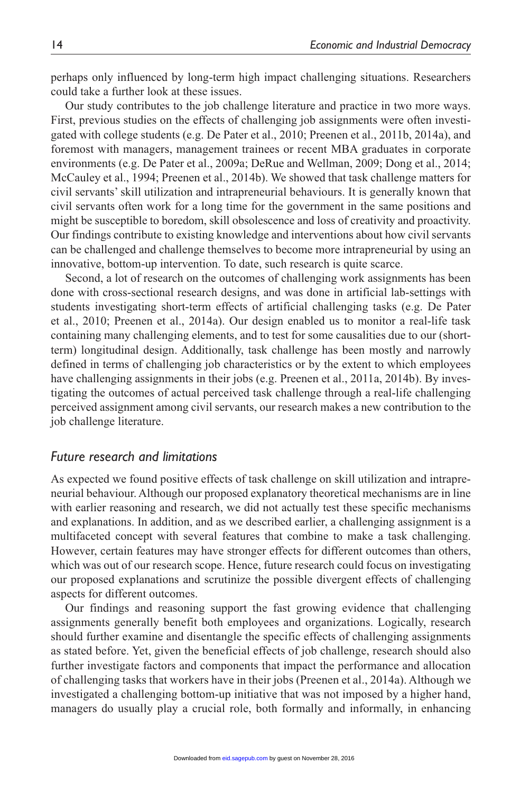perhaps only influenced by long-term high impact challenging situations. Researchers could take a further look at these issues.

Our study contributes to the job challenge literature and practice in two more ways. First, previous studies on the effects of challenging job assignments were often investigated with college students (e.g. De Pater et al., 2010; Preenen et al., 2011b, 2014a), and foremost with managers, management trainees or recent MBA graduates in corporate environments (e.g. De Pater et al., 2009a; DeRue and Wellman, 2009; Dong et al., 2014; McCauley et al., 1994; Preenen et al., 2014b). We showed that task challenge matters for civil servants' skill utilization and intrapreneurial behaviours. It is generally known that civil servants often work for a long time for the government in the same positions and might be susceptible to boredom, skill obsolescence and loss of creativity and proactivity. Our findings contribute to existing knowledge and interventions about how civil servants can be challenged and challenge themselves to become more intrapreneurial by using an innovative, bottom-up intervention. To date, such research is quite scarce.

Second, a lot of research on the outcomes of challenging work assignments has been done with cross-sectional research designs, and was done in artificial lab-settings with students investigating short-term effects of artificial challenging tasks (e.g. De Pater et al., 2010; Preenen et al., 2014a). Our design enabled us to monitor a real-life task containing many challenging elements, and to test for some causalities due to our (shortterm) longitudinal design. Additionally, task challenge has been mostly and narrowly defined in terms of challenging job characteristics or by the extent to which employees have challenging assignments in their jobs (e.g. Preenen et al., 2011a, 2014b). By investigating the outcomes of actual perceived task challenge through a real-life challenging perceived assignment among civil servants, our research makes a new contribution to the job challenge literature.

#### *Future research and limitations*

As expected we found positive effects of task challenge on skill utilization and intrapreneurial behaviour. Although our proposed explanatory theoretical mechanisms are in line with earlier reasoning and research, we did not actually test these specific mechanisms and explanations. In addition, and as we described earlier, a challenging assignment is a multifaceted concept with several features that combine to make a task challenging. However, certain features may have stronger effects for different outcomes than others, which was out of our research scope. Hence, future research could focus on investigating our proposed explanations and scrutinize the possible divergent effects of challenging aspects for different outcomes.

Our findings and reasoning support the fast growing evidence that challenging assignments generally benefit both employees and organizations. Logically, research should further examine and disentangle the specific effects of challenging assignments as stated before. Yet, given the beneficial effects of job challenge, research should also further investigate factors and components that impact the performance and allocation of challenging tasks that workers have in their jobs (Preenen et al., 2014a). Although we investigated a challenging bottom-up initiative that was not imposed by a higher hand, managers do usually play a crucial role, both formally and informally, in enhancing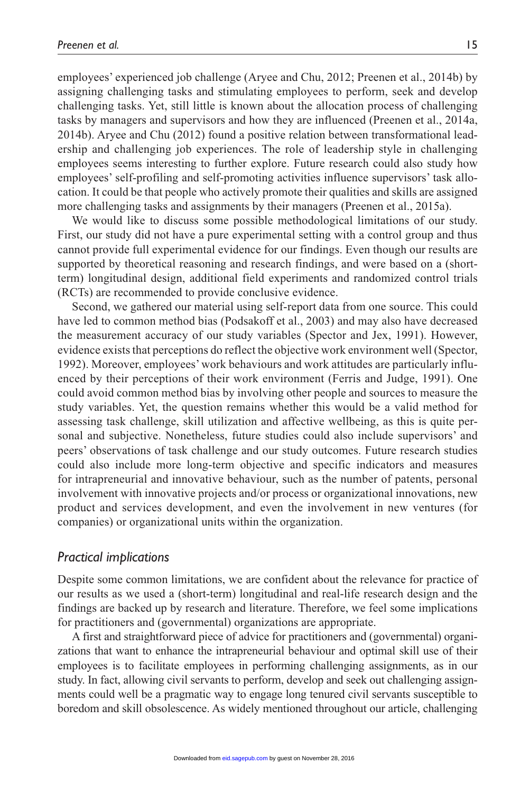employees' experienced job challenge (Aryee and Chu, 2012; Preenen et al., 2014b) by assigning challenging tasks and stimulating employees to perform, seek and develop challenging tasks. Yet, still little is known about the allocation process of challenging tasks by managers and supervisors and how they are influenced (Preenen et al., 2014a, 2014b). Aryee and Chu (2012) found a positive relation between transformational leadership and challenging job experiences. The role of leadership style in challenging employees seems interesting to further explore. Future research could also study how employees' self-profiling and self-promoting activities influence supervisors' task allocation. It could be that people who actively promote their qualities and skills are assigned more challenging tasks and assignments by their managers (Preenen et al., 2015a).

We would like to discuss some possible methodological limitations of our study. First, our study did not have a pure experimental setting with a control group and thus cannot provide full experimental evidence for our findings. Even though our results are supported by theoretical reasoning and research findings, and were based on a (shortterm) longitudinal design, additional field experiments and randomized control trials (RCTs) are recommended to provide conclusive evidence.

Second, we gathered our material using self-report data from one source. This could have led to common method bias (Podsakoff et al., 2003) and may also have decreased the measurement accuracy of our study variables (Spector and Jex, 1991). However, evidence exists that perceptions do reflect the objective work environment well (Spector, 1992). Moreover, employees' work behaviours and work attitudes are particularly influenced by their perceptions of their work environment (Ferris and Judge, 1991). One could avoid common method bias by involving other people and sources to measure the study variables. Yet, the question remains whether this would be a valid method for assessing task challenge, skill utilization and affective wellbeing, as this is quite personal and subjective. Nonetheless, future studies could also include supervisors' and peers' observations of task challenge and our study outcomes. Future research studies could also include more long-term objective and specific indicators and measures for intrapreneurial and innovative behaviour, such as the number of patents, personal involvement with innovative projects and/or process or organizational innovations, new product and services development, and even the involvement in new ventures (for companies) or organizational units within the organization.

#### *Practical implications*

Despite some common limitations, we are confident about the relevance for practice of our results as we used a (short-term) longitudinal and real-life research design and the findings are backed up by research and literature. Therefore, we feel some implications for practitioners and (governmental) organizations are appropriate.

A first and straightforward piece of advice for practitioners and (governmental) organizations that want to enhance the intrapreneurial behaviour and optimal skill use of their employees is to facilitate employees in performing challenging assignments, as in our study. In fact, allowing civil servants to perform, develop and seek out challenging assignments could well be a pragmatic way to engage long tenured civil servants susceptible to boredom and skill obsolescence. As widely mentioned throughout our article, challenging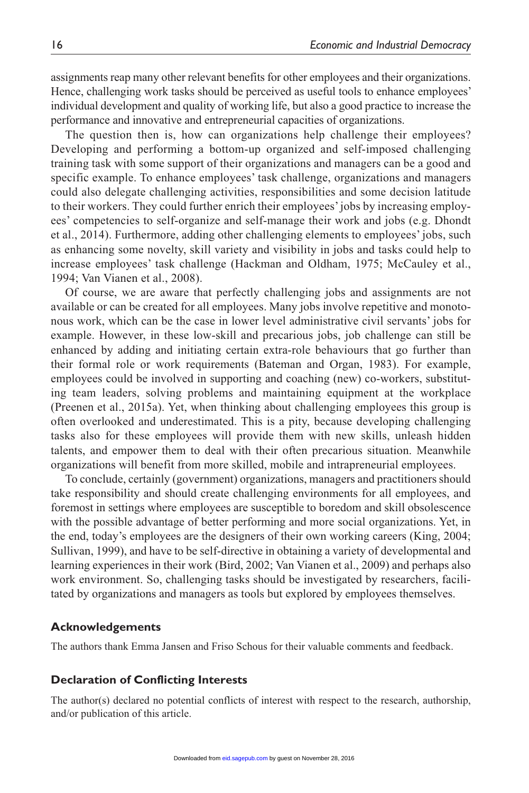assignments reap many other relevant benefits for other employees and their organizations. Hence, challenging work tasks should be perceived as useful tools to enhance employees' individual development and quality of working life, but also a good practice to increase the performance and innovative and entrepreneurial capacities of organizations.

The question then is, how can organizations help challenge their employees? Developing and performing a bottom-up organized and self-imposed challenging training task with some support of their organizations and managers can be a good and specific example. To enhance employees' task challenge, organizations and managers could also delegate challenging activities, responsibilities and some decision latitude to their workers. They could further enrich their employees' jobs by increasing employees' competencies to self-organize and self-manage their work and jobs (e.g. Dhondt et al., 2014). Furthermore, adding other challenging elements to employees' jobs, such as enhancing some novelty, skill variety and visibility in jobs and tasks could help to increase employees' task challenge (Hackman and Oldham, 1975; McCauley et al., 1994; Van Vianen et al., 2008).

Of course, we are aware that perfectly challenging jobs and assignments are not available or can be created for all employees. Many jobs involve repetitive and monotonous work, which can be the case in lower level administrative civil servants' jobs for example. However, in these low-skill and precarious jobs, job challenge can still be enhanced by adding and initiating certain extra-role behaviours that go further than their formal role or work requirements (Bateman and Organ, 1983). For example, employees could be involved in supporting and coaching (new) co-workers, substituting team leaders, solving problems and maintaining equipment at the workplace (Preenen et al., 2015a). Yet, when thinking about challenging employees this group is often overlooked and underestimated. This is a pity, because developing challenging tasks also for these employees will provide them with new skills, unleash hidden talents, and empower them to deal with their often precarious situation. Meanwhile organizations will benefit from more skilled, mobile and intrapreneurial employees.

To conclude, certainly (government) organizations, managers and practitioners should take responsibility and should create challenging environments for all employees, and foremost in settings where employees are susceptible to boredom and skill obsolescence with the possible advantage of better performing and more social organizations. Yet, in the end, today's employees are the designers of their own working careers (King, 2004; Sullivan, 1999), and have to be self-directive in obtaining a variety of developmental and learning experiences in their work (Bird, 2002; Van Vianen et al., 2009) and perhaps also work environment. So, challenging tasks should be investigated by researchers, facilitated by organizations and managers as tools but explored by employees themselves.

#### **Acknowledgements**

The authors thank Emma Jansen and Friso Schous for their valuable comments and feedback.

#### **Declaration of Conflicting Interests**

The author(s) declared no potential conflicts of interest with respect to the research, authorship, and/or publication of this article.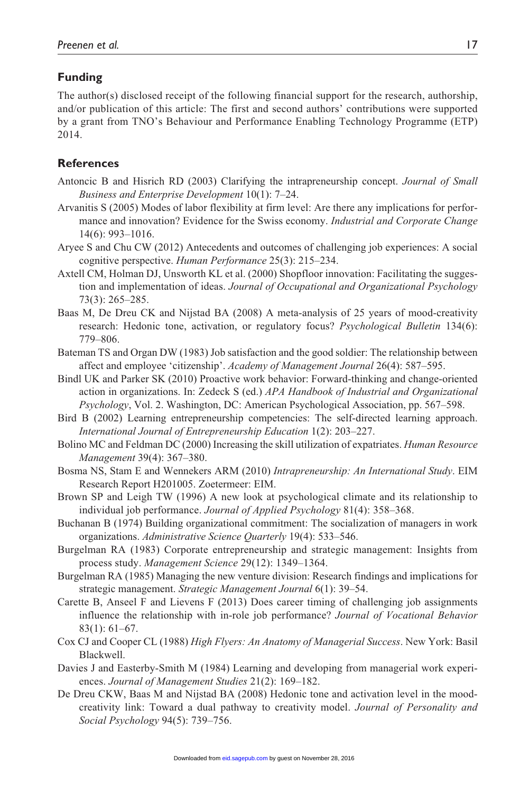### **Funding**

The author(s) disclosed receipt of the following financial support for the research, authorship, and/or publication of this article: The first and second authors' contributions were supported by a grant from TNO's Behaviour and Performance Enabling Technology Programme (ETP) 2014.

#### **References**

- Antoncic B and Hisrich RD (2003) Clarifying the intrapreneurship concept. *Journal of Small Business and Enterprise Development* 10(1): 7–24.
- Arvanitis S (2005) Modes of labor flexibility at firm level: Are there any implications for performance and innovation? Evidence for the Swiss economy. *Industrial and Corporate Change* 14(6): 993–1016.
- Aryee S and Chu CW (2012) Antecedents and outcomes of challenging job experiences: A social cognitive perspective. *Human Performance* 25(3): 215–234.
- Axtell CM, Holman DJ, Unsworth KL et al. (2000) Shopfloor innovation: Facilitating the suggestion and implementation of ideas. *Journal of Occupational and Organizational Psychology* 73(3): 265–285.
- Baas M, De Dreu CK and Nijstad BA (2008) A meta-analysis of 25 years of mood-creativity research: Hedonic tone, activation, or regulatory focus? *Psychological Bulletin* 134(6): 779–806.
- Bateman TS and Organ DW (1983) Job satisfaction and the good soldier: The relationship between affect and employee 'citizenship'. *Academy of Management Journal* 26(4): 587–595.
- Bindl UK and Parker SK (2010) Proactive work behavior: Forward-thinking and change-oriented action in organizations. In: Zedeck S (ed.) *APA Handbook of Industrial and Organizational Psychology*, Vol. 2. Washington, DC: American Psychological Association, pp. 567–598.
- Bird B (2002) Learning entrepreneurship competencies: The self-directed learning approach. *International Journal of Entrepreneurship Education* 1(2): 203–227.
- Bolino MC and Feldman DC (2000) Increasing the skill utilization of expatriates. *Human Resource Management* 39(4): 367–380.
- Bosma NS, Stam E and Wennekers ARM (2010) *Intrapreneurship: An International Study*. EIM Research Report H201005. Zoetermeer: EIM.
- Brown SP and Leigh TW (1996) A new look at psychological climate and its relationship to individual job performance. *Journal of Applied Psychology* 81(4): 358–368.
- Buchanan B (1974) Building organizational commitment: The socialization of managers in work organizations. *Administrative Science Quarterly* 19(4): 533–546.
- Burgelman RA (1983) Corporate entrepreneurship and strategic management: Insights from process study. *Management Science* 29(12): 1349–1364.
- Burgelman RA (1985) Managing the new venture division: Research findings and implications for strategic management. *Strategic Management Journal* 6(1): 39–54.
- Carette B, Anseel F and Lievens F (2013) Does career timing of challenging job assignments influence the relationship with in-role job performance? *Journal of Vocational Behavior* 83(1): 61–67.
- Cox CJ and Cooper CL (1988) *High Flyers: An Anatomy of Managerial Success*. New York: Basil Blackwell.
- Davies J and Easterby-Smith M (1984) Learning and developing from managerial work experiences. *Journal of Management Studies* 21(2): 169–182.
- De Dreu CKW, Baas M and Nijstad BA (2008) Hedonic tone and activation level in the moodcreativity link: Toward a dual pathway to creativity model. *Journal of Personality and Social Psychology* 94(5): 739–756.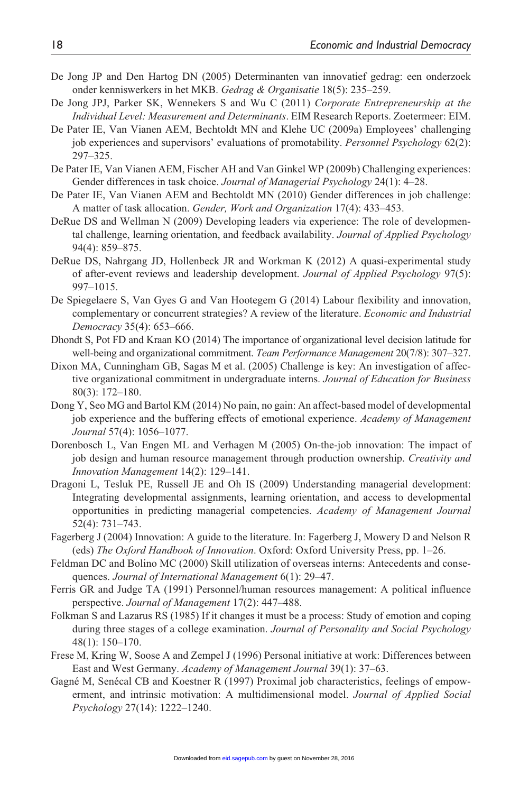- De Jong JP and Den Hartog DN (2005) Determinanten van innovatief gedrag: een onderzoek onder kenniswerkers in het MKB. *Gedrag & Organisatie* 18(5): 235–259.
- De Jong JPJ, Parker SK, Wennekers S and Wu C (2011) *Corporate Entrepreneurship at the Individual Level: Measurement and Determinants*. EIM Research Reports. Zoetermeer: EIM.
- De Pater IE, Van Vianen AEM, Bechtoldt MN and Klehe UC (2009a) Employees' challenging job experiences and supervisors' evaluations of promotability. *Personnel Psychology* 62(2): 297–325.
- De Pater IE, Van Vianen AEM, Fischer AH and Van Ginkel WP (2009b) Challenging experiences: Gender differences in task choice. *Journal of Managerial Psychology* 24(1): 4–28.
- De Pater IE, Van Vianen AEM and Bechtoldt MN (2010) Gender differences in job challenge: A matter of task allocation. *Gender, Work and Organization* 17(4): 433–453.
- DeRue DS and Wellman N (2009) Developing leaders via experience: The role of developmental challenge, learning orientation, and feedback availability. *Journal of Applied Psychology* 94(4): 859–875.
- DeRue DS, Nahrgang JD, Hollenbeck JR and Workman K (2012) A quasi-experimental study of after-event reviews and leadership development. *Journal of Applied Psychology* 97(5): 997–1015.
- De Spiegelaere S, Van Gyes G and Van Hootegem G (2014) Labour flexibility and innovation, complementary or concurrent strategies? A review of the literature. *Economic and Industrial Democracy* 35(4): 653–666.
- Dhondt S, Pot FD and Kraan KO (2014) The importance of organizational level decision latitude for well-being and organizational commitment. *Team Performance Management* 20(7/8): 307–327.
- Dixon MA, Cunningham GB, Sagas M et al. (2005) Challenge is key: An investigation of affective organizational commitment in undergraduate interns. *Journal of Education for Business* 80(3): 172–180.
- Dong Y, Seo MG and Bartol KM (2014) No pain, no gain: An affect-based model of developmental job experience and the buffering effects of emotional experience. *Academy of Management Journal* 57(4): 1056–1077.
- Dorenbosch L, Van Engen ML and Verhagen M (2005) On-the-job innovation: The impact of job design and human resource management through production ownership. *Creativity and Innovation Management* 14(2): 129–141.
- Dragoni L, Tesluk PE, Russell JE and Oh IS (2009) Understanding managerial development: Integrating developmental assignments, learning orientation, and access to developmental opportunities in predicting managerial competencies. *Academy of Management Journal* 52(4): 731–743.
- Fagerberg J (2004) Innovation: A guide to the literature. In: Fagerberg J, Mowery D and Nelson R (eds) *The Oxford Handbook of Innovation*. Oxford: Oxford University Press, pp. 1–26.
- Feldman DC and Bolino MC (2000) Skill utilization of overseas interns: Antecedents and consequences. *Journal of International Management* 6(1): 29–47.
- Ferris GR and Judge TA (1991) Personnel/human resources management: A political influence perspective. *Journal of Management* 17(2): 447–488.
- Folkman S and Lazarus RS (1985) If it changes it must be a process: Study of emotion and coping during three stages of a college examination. *Journal of Personality and Social Psychology* 48(1): 150–170.
- Frese M, Kring W, Soose A and Zempel J (1996) Personal initiative at work: Differences between East and West Germany. *Academy of Management Journal* 39(1): 37–63.
- Gagné M, Senécal CB and Koestner R (1997) Proximal job characteristics, feelings of empowerment, and intrinsic motivation: A multidimensional model. *Journal of Applied Social Psychology* 27(14): 1222–1240.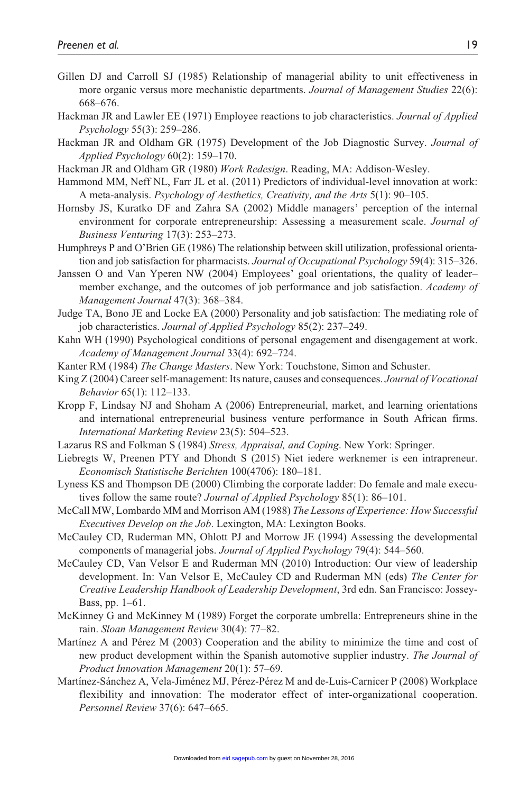- Gillen DJ and Carroll SJ (1985) Relationship of managerial ability to unit effectiveness in more organic versus more mechanistic departments. *Journal of Management Studies* 22(6): 668–676.
- Hackman JR and Lawler EE (1971) Employee reactions to job characteristics. *Journal of Applied Psychology* 55(3): 259–286.
- Hackman JR and Oldham GR (1975) Development of the Job Diagnostic Survey. *Journal of Applied Psychology* 60(2): 159–170.
- Hackman JR and Oldham GR (1980) *Work Redesign*. Reading, MA: Addison-Wesley.
- Hammond MM, Neff NL, Farr JL et al. (2011) Predictors of individual-level innovation at work: A meta-analysis. *Psychology of Aesthetics, Creativity, and the Arts* 5(1): 90–105.
- Hornsby JS, Kuratko DF and Zahra SA (2002) Middle managers' perception of the internal environment for corporate entrepreneurship: Assessing a measurement scale. *Journal of Business Venturing* 17(3): 253–273.
- Humphreys P and O'Brien GE (1986) The relationship between skill utilization, professional orientation and job satisfaction for pharmacists. *Journal of Occupational Psychology* 59(4): 315–326.
- Janssen O and Van Yperen NW (2004) Employees' goal orientations, the quality of leader– member exchange, and the outcomes of job performance and job satisfaction. *Academy of Management Journal* 47(3): 368–384.
- Judge TA, Bono JE and Locke EA (2000) Personality and job satisfaction: The mediating role of job characteristics. *Journal of Applied Psychology* 85(2): 237–249.
- Kahn WH (1990) Psychological conditions of personal engagement and disengagement at work. *Academy of Management Journal* 33(4): 692–724.
- Kanter RM (1984) *The Change Masters*. New York: Touchstone, Simon and Schuster.
- King Z (2004) Career self-management: Its nature, causes and consequences. *Journal of Vocational Behavior* 65(1): 112–133.
- Kropp F, Lindsay NJ and Shoham A (2006) Entrepreneurial, market, and learning orientations and international entrepreneurial business venture performance in South African firms. *International Marketing Review* 23(5): 504–523.
- Lazarus RS and Folkman S (1984) *Stress, Appraisal, and Coping*. New York: Springer.
- Liebregts W, Preenen PTY and Dhondt S (2015) Niet iedere werknemer is een intrapreneur. *Economisch Statistische Berichten* 100(4706): 180–181.
- Lyness KS and Thompson DE (2000) Climbing the corporate ladder: Do female and male executives follow the same route? *Journal of Applied Psychology* 85(1): 86–101.
- McCall MW, Lombardo MM and Morrison AM (1988) *The Lessons of Experience: How Successful Executives Develop on the Job*. Lexington, MA: Lexington Books.
- McCauley CD, Ruderman MN, Ohlott PJ and Morrow JE (1994) Assessing the developmental components of managerial jobs. *Journal of Applied Psychology* 79(4): 544–560.
- McCauley CD, Van Velsor E and Ruderman MN (2010) Introduction: Our view of leadership development. In: Van Velsor E, McCauley CD and Ruderman MN (eds) *The Center for Creative Leadership Handbook of Leadership Development*, 3rd edn. San Francisco: Jossey-Bass, pp. 1–61.
- McKinney G and McKinney M (1989) Forget the corporate umbrella: Entrepreneurs shine in the rain. *Sloan Management Review* 30(4): 77–82.
- Martínez A and Pérez M (2003) Cooperation and the ability to minimize the time and cost of new product development within the Spanish automotive supplier industry. *The Journal of Product Innovation Management* 20(1): 57–69.
- Martínez-Sánchez A, Vela-Jiménez MJ, Pérez-Pérez M and de-Luis-Carnicer P (2008) Workplace flexibility and innovation: The moderator effect of inter-organizational cooperation. *Personnel Review* 37(6): 647–665.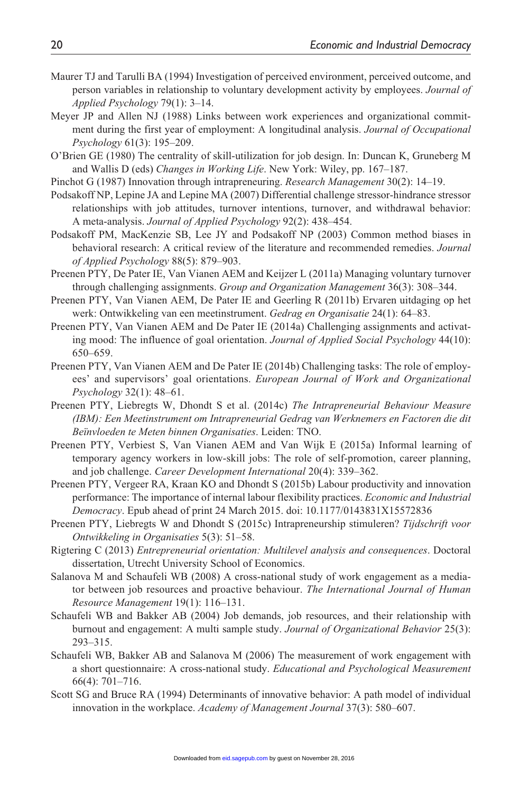- Maurer TJ and Tarulli BA (1994) Investigation of perceived environment, perceived outcome, and person variables in relationship to voluntary development activity by employees. *Journal of Applied Psychology* 79(1): 3–14.
- Meyer JP and Allen NJ (1988) Links between work experiences and organizational commitment during the first year of employment: A longitudinal analysis. *Journal of Occupational Psychology* 61(3): 195–209.
- O'Brien GE (1980) The centrality of skill-utilization for job design. In: Duncan K, Gruneberg M and Wallis D (eds) *Changes in Working Life*. New York: Wiley, pp. 167–187.
- Pinchot G (1987) Innovation through intrapreneuring. *Research Management* 30(2): 14–19.
- Podsakoff NP, Lepine JA and Lepine MA (2007) Differential challenge stressor-hindrance stressor relationships with job attitudes, turnover intentions, turnover, and withdrawal behavior: A meta-analysis. *Journal of Applied Psychology* 92(2): 438–454.
- Podsakoff PM, MacKenzie SB, Lee JY and Podsakoff NP (2003) Common method biases in behavioral research: A critical review of the literature and recommended remedies. *Journal of Applied Psychology* 88(5): 879–903.
- Preenen PTY, De Pater IE, Van Vianen AEM and Keijzer L (2011a) Managing voluntary turnover through challenging assignments. *Group and Organization Management* 36(3): 308–344.
- Preenen PTY, Van Vianen AEM, De Pater IE and Geerling R (2011b) Ervaren uitdaging op het werk: Ontwikkeling van een meetinstrument. *Gedrag en Organisatie* 24(1): 64–83.
- Preenen PTY, Van Vianen AEM and De Pater IE (2014a) Challenging assignments and activating mood: The influence of goal orientation. *Journal of Applied Social Psychology* 44(10): 650–659.
- Preenen PTY, Van Vianen AEM and De Pater IE (2014b) Challenging tasks: The role of employees' and supervisors' goal orientations. *European Journal of Work and Organizational Psychology* 32(1): 48–61.
- Preenen PTY, Liebregts W, Dhondt S et al. (2014c) *The Intrapreneurial Behaviour Measure (IBM): Een Meetinstrument om Intrapreneurial Gedrag van Werknemers en Factoren die dit Beïnvloeden te Meten binnen Organisaties*. Leiden: TNO.
- Preenen PTY, Verbiest S, Van Vianen AEM and Van Wijk E (2015a) Informal learning of temporary agency workers in low-skill jobs: The role of self-promotion, career planning, and job challenge. *Career Development International* 20(4): 339–362.
- Preenen PTY, Vergeer RA, Kraan KO and Dhondt S (2015b) Labour productivity and innovation performance: The importance of internal labour flexibility practices. *Economic and Industrial Democracy*. Epub ahead of print 24 March 2015. doi: 10.1177/0143831X15572836
- Preenen PTY, Liebregts W and Dhondt S (2015c) Intrapreneurship stimuleren? *Tijdschrift voor Ontwikkeling in Organisaties* 5(3): 51–58.
- Rigtering C (2013) *Entrepreneurial orientation: Multilevel analysis and consequences*. Doctoral dissertation, Utrecht University School of Economics.
- Salanova M and Schaufeli WB (2008) A cross-national study of work engagement as a mediator between job resources and proactive behaviour. *The International Journal of Human Resource Management* 19(1): 116–131.
- Schaufeli WB and Bakker AB (2004) Job demands, job resources, and their relationship with burnout and engagement: A multi sample study. *Journal of Organizational Behavior* 25(3): 293–315.
- Schaufeli WB, Bakker AB and Salanova M (2006) The measurement of work engagement with a short questionnaire: A cross-national study. *Educational and Psychological Measurement* 66(4): 701–716.
- Scott SG and Bruce RA (1994) Determinants of innovative behavior: A path model of individual innovation in the workplace. *Academy of Management Journal* 37(3): 580–607.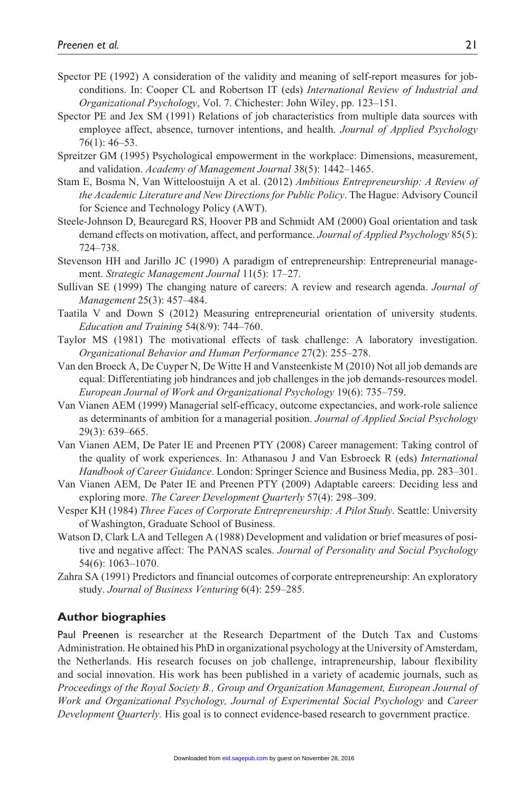- Spector PE (1992) A consideration of the validity and meaning of self-report measures for jobconditions. In: Cooper CL and Robertson IT (eds) *International Review of Industrial and Organizational Psychology*, Vol. 7. Chichester: John Wiley, pp. 123–151.
- Spector PE and Jex SM (1991) Relations of job characteristics from multiple data sources with employee affect, absence, turnover intentions, and health. *Journal of Applied Psychology* 76(1): 46–53.
- Spreitzer GM (1995) Psychological empowerment in the workplace: Dimensions, measurement, and validation. *Academy of Management Journal* 38(5): 1442–1465.
- Stam E, Bosma N, Van Witteloostuijn A et al. (2012) *Ambitious Entrepreneurship: A Review of the Academic Literature and New Directions for Public Policy*. The Hague: Advisory Council for Science and Technology Policy (AWT).
- Steele-Johnson D, Beauregard RS, Hoover PB and Schmidt AM (2000) Goal orientation and task demand effects on motivation, affect, and performance. *Journal of Applied Psychology* 85(5): 724–738.
- Stevenson HH and Jarillo JC (1990) A paradigm of entrepreneurship: Entrepreneurial management. *Strategic Management Journal* 11(5): 17–27.
- Sullivan SE (1999) The changing nature of careers: A review and research agenda. *Journal of Management* 25(3): 457–484.
- Taatila V and Down S (2012) Measuring entrepreneurial orientation of university students. *Education and Training* 54(8/9): 744–760.
- Taylor MS (1981) The motivational effects of task challenge: A laboratory investigation. *Organizational Behavior and Human Performance* 27(2): 255–278.
- Van den Broeck A, De Cuyper N, De Witte H and Vansteenkiste M (2010) Not all job demands are equal: Differentiating job hindrances and job challenges in the job demands-resources model. *European Journal of Work and Organizational Psychology* 19(6): 735–759.
- Van Vianen AEM (1999) Managerial self-efficacy, outcome expectancies, and work-role salience as determinants of ambition for a managerial position. *Journal of Applied Social Psychology* 29(3): 639–665.
- Van Vianen AEM, De Pater IE and Preenen PTY (2008) Career management: Taking control of the quality of work experiences. In: Athanasou J and Van Esbroeck R (eds) *International Handbook of Career Guidance*. London: Springer Science and Business Media, pp. 283–301.
- Van Vianen AEM, De Pater IE and Preenen PTY (2009) Adaptable careers: Deciding less and exploring more. *The Career Development Quarterly* 57(4): 298–309.
- Vesper KH (1984) *Three Faces of Corporate Entrepreneurship: A Pilot Study*. Seattle: University of Washington, Graduate School of Business.
- Watson D, Clark LA and Tellegen A (1988) Development and validation or brief measures of positive and negative affect: The PANAS scales. *Journal of Personality and Social Psychology* 54(6): 1063–1070.
- Zahra SA (1991) Predictors and financial outcomes of corporate entrepreneurship: An exploratory study. *Journal of Business Venturing* 6(4): 259–285.

#### **Author biographies**

Paul Preenen is researcher at the Research Department of the Dutch Tax and Customs Administration. He obtained his PhD in organizational psychology at the University of Amsterdam, the Netherlands. His research focuses on job challenge, intrapreneurship, labour flexibility and social innovation. His work has been published in a variety of academic journals, such as *Proceedings of the Royal Society B., Group and Organization Management, European Journal of Work and Organizational Psychology, Journal of Experimental Social Psychology* and *Career Development Quarterly.* His goal is to connect evidence-based research to government practice.